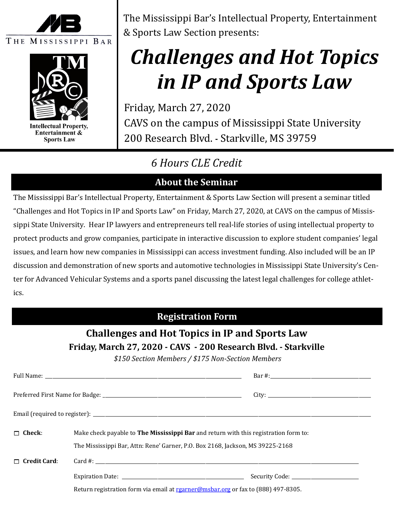



**Intellectual Property,** Entertainment & **Sports Law** 

The Mississippi Bar's Intellectual Property, Entertainment & Sports Law Section presents:

# *Challenges and Hot Topics in IP and Sports Law*

Friday, March 27, 2020 CAVS on the campus of Mississippi State University 200 Research Blvd. **-** Starkville, MS 39759

# *6 Hours CLE Credit*

# **About the Seminar**

The Mississippi Bar's Intellectual Property, Entertainment & Sports Law Section will present a seminar titled "Challenges and Hot Topics in IP and Sports Law" on Friday, March 27, 2020, at CAVS on the campus of Mississippi State University. Hear IP lawyers and entrepreneurs tell real-life stories of using intellectual property to protect products and grow companies, participate in interactive discussion to explore student companies' legal issues, and learn how new companies in Mississippi can access investment funding. Also included will be an IP discussion and demonstration of new sports and automotive technologies in Mississippi State University's Center for Advanced Vehicular Systems and a sports panel discussing the latest legal challenges for college athletics.

## **Registration Form**

## **Challenges and Hot Topics in IP and Sports Law Friday, March 27, 2020 - CAVS - 200 Research Blvd. - Starkville**

*\$150 Section Members / \$175 Non-Section Members*

| $\Box$ Check:       | Make check payable to The Mississippi Bar and return with this registration form to:<br>The Mississippi Bar, Attn: Rene' Garner, P.O. Box 2168, Jackson, MS 39225-2168 |  |  |
|---------------------|------------------------------------------------------------------------------------------------------------------------------------------------------------------------|--|--|
| $\Box$ Credit Card: |                                                                                                                                                                        |  |  |
|                     |                                                                                                                                                                        |  |  |

Return registration form via email at rearner@msbar.org or fax to (888) 497-8305.